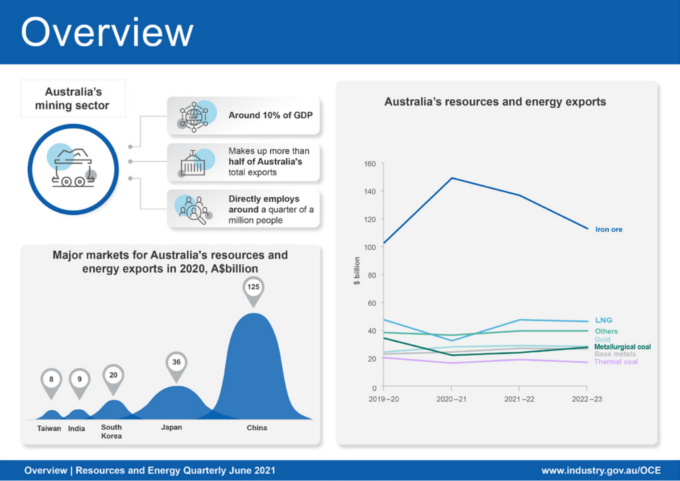# Overview



# **Overview | Resources and Energy Quarterly June 2021**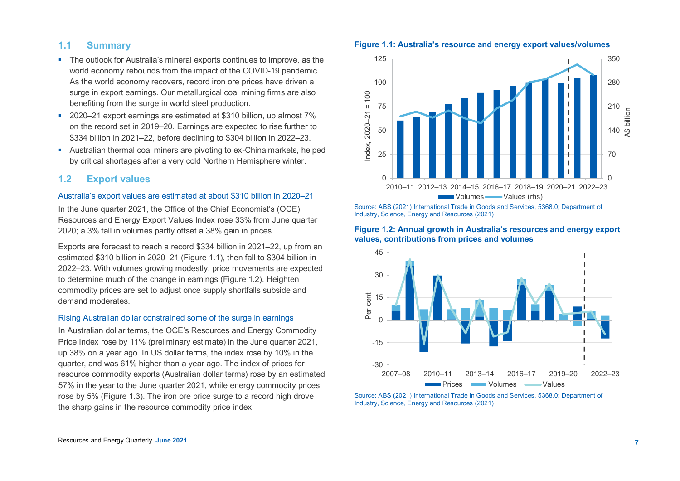## **1.1 Summary**

- The outlook for Australia's mineral exports continues to improve, as the world economy rebounds from the impact of the COVID-19 pandemic. As the world economy recovers, record iron ore prices have driven a surge in export earnings. Our metallurgical coal mining firms are also benefiting from the surge in world steel production.
- 2020–21 export earnings are estimated at \$310 billion, up almost 7% on the record set in 2019–20. Earnings are expected to rise further to \$334 billion in 2021–22, before declining to \$304 billion in 2022–23.
- Australian thermal coal miners are pivoting to ex-China markets, helped by critical shortages after a very cold Northern Hemisphere winter.

## **1.2 Export values**

#### Australia's export values are estimated at about \$310 billion in 2020–21

In the June quarter 2021, the Office of the Chief Economist's (OCE) Resources and Energy Export Values Index rose 33% from June quarter 2020; a 3% fall in volumes partly offset a 38% gain in prices.

Exports are forecast to reach a record \$334 billion in 2021–22, up from an estimated \$310 billion in 2020–21 (Figure 1.1), then fall to \$304 billion in 2022–23. With volumes growing modestly, price movements are expected to determine much of the change in earnings (Figure 1.2). Heighten commodity prices are set to adjust once supply shortfalls subside and demand moderates.

#### Rising Australian dollar constrained some of the surge in earnings

In Australian dollar terms, the OCE's Resources and Energy Commodity Price Index rose by 11% (preliminary estimate) in the June quarter 2021, up 38% on a year ago. In US dollar terms, the index rose by 10% in the quarter, and was 61% higher than a year ago. The index of prices for resource commodity exports (Australian dollar terms) rose by an estimated 57% in the year to the June quarter 2021, while energy commodity prices rose by 5% (Figure 1.3). The iron ore price surge to a record high drove the sharp gains in the resource commodity price index.



#### **Figure 1.1: Australia's resource and energy export values/volumes**

Source: ABS (2021) International Trade in Goods and Services, 5368.0; Department of Industry, Science, Energy and Resources (2021)

#### **Figure 1.2: Annual growth in Australia's resources and energy export values, contributions from prices and volumes**



Source: ABS (2021) International Trade in Goods and Services, 5368.0; Department of Industry, Science, Energy and Resources (2021)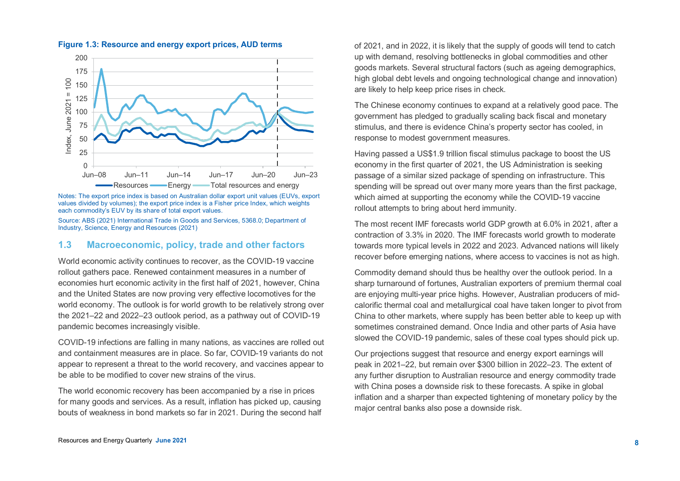

**Figure 1.3: Resource and energy export prices, AUD terms**

Notes: The export price index is based on Australian dollar export unit values (EUVs, export values divided by volumes); the export price index is a Fisher price Index, which weights each commodity's EUV by its share of total export values.

Source: ABS (2021) International Trade in Goods and Services, 5368.0; Department of Industry, Science, Energy and Resources (2021)

## **1.3 Macroeconomic, policy, trade and other factors**

World economic activity continues to recover, as the COVID-19 vaccine rollout gathers pace. Renewed containment measures in a number of economies hurt economic activity in the first half of 2021, however, China and the United States are now proving very effective locomotives for the world economy. The outlook is for world growth to be relatively strong over the 2021–22 and 2022–23 outlook period, as a pathway out of COVID-19 pandemic becomes increasingly visible.

COVID-19 infections are falling in many nations, as vaccines are rolled out and containment measures are in place. So far, COVID-19 variants do not appear to represent a threat to the world recovery, and vaccines appear to be able to be modified to cover new strains of the virus.

The world economic recovery has been accompanied by a rise in prices for many goods and services. As a result, inflation has picked up, causing bouts of weakness in bond markets so far in 2021. During the second half

of 2021, and in 2022, it is likely that the supply of goods will tend to catch up with demand, resolving bottlenecks in global commodities and other goods markets. Several structural factors (such as ageing demographics, high global debt levels and ongoing technological change and innovation) are likely to help keep price rises in check.

The Chinese economy continues to expand at a relatively good pace. The government has pledged to gradually scaling back fiscal and monetary stimulus, and there is evidence China's property sector has cooled, in response to modest government measures.

Having passed a US\$1.9 trillion fiscal stimulus package to boost the US economy in the first quarter of 2021, the US Administration is seeking passage of a similar sized package of spending on infrastructure. This spending will be spread out over many more years than the first package, which aimed at supporting the economy while the COVID-19 vaccine rollout attempts to bring about herd immunity.

The most recent IMF forecasts world GDP growth at 6.0% in 2021, after a contraction of 3.3% in 2020. The IMF forecasts world growth to moderate towards more typical levels in 2022 and 2023. Advanced nations will likely recover before emerging nations, where access to vaccines is not as high.

Commodity demand should thus be healthy over the outlook period. In a sharp turnaround of fortunes, Australian exporters of premium thermal coal are enjoying multi-year price highs. However, Australian producers of midcalorific thermal coal and metallurgical coal have taken longer to pivot from China to other markets, where supply has been better able to keep up with sometimes constrained demand. Once India and other parts of Asia have slowed the COVID-19 pandemic, sales of these coal types should pick up.

Our projections suggest that resource and energy export earnings will peak in 2021–22, but remain over \$300 billion in 2022–23. The extent of any further disruption to Australian resource and energy commodity trade with China poses a downside risk to these forecasts. A spike in global inflation and a sharper than expected tightening of monetary policy by the major central banks also pose a downside risk.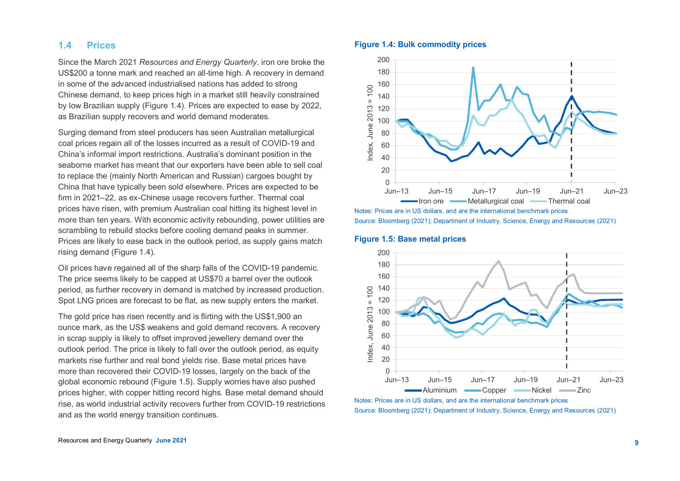## **1.4 Prices**

Since the March 2021 *Resources and Energy Quarterly*, iron ore broke the US\$200 a tonne mark and reached an all-time high. A recovery in demand in some of the advanced industrialised nations has added to strong Chinese demand, to keep prices high in a market still heavily constrained by low Brazilian supply (Figure 1.4). Prices are expected to ease by 2022, as Brazilian supply recovers and world demand moderates.

Surging demand from steel producers has seen Australian metallurgical coal prices regain all of the losses incurred as a result of COVID-19 and China's informal import restrictions. Australia's dominant position in the seaborne market has meant that our exporters have been able to sell coal to replace the (mainly North American and Russian) cargoes bought by China that have typically been sold elsewhere. Prices are expected to be firm in 2021–22, as ex-Chinese usage recovers further. Thermal coal prices have risen, with premium Australian coal hitting its highest level in more than ten years. With economic activity rebounding, power utilities are scrambling to rebuild stocks before cooling demand peaks in summer. Prices are likely to ease back in the outlook period, as supply gains match rising demand (Figure 1.4).

Oil prices have regained all of the sharp falls of the COVID-19 pandemic. The price seems likely to be capped at US\$70 a barrel over the outlook period, as further recovery in demand is matched by increased production. Spot LNG prices are forecast to be flat, as new supply enters the market.

The gold price has risen recently and is flirting with the US\$1,900 an ounce mark, as the US\$ weakens and gold demand recovers. A recovery in scrap supply is likely to offset improved jewellery demand over the outlook period. The price is likely to fall over the outlook period, as equity markets rise further and real bond yields rise. Base metal prices have more than recovered their COVID-19 losses, largely on the back of the global economic rebound (Figure 1.5). Supply worries have also pushed prices higher, with copper hitting record highs. Base metal demand should rise, as world industrial activity recovers further from COVID-19 restrictions and as the world energy transition continues.

## **Figure 1.4: Bulk commodity prices**



Notes: Prices are in US dollars, and are the international benchmark prices Source: Bloomberg (2021); Department of Industry, Science, Energy and Resources (2021)

#### **Figure 1.5: Base metal prices**

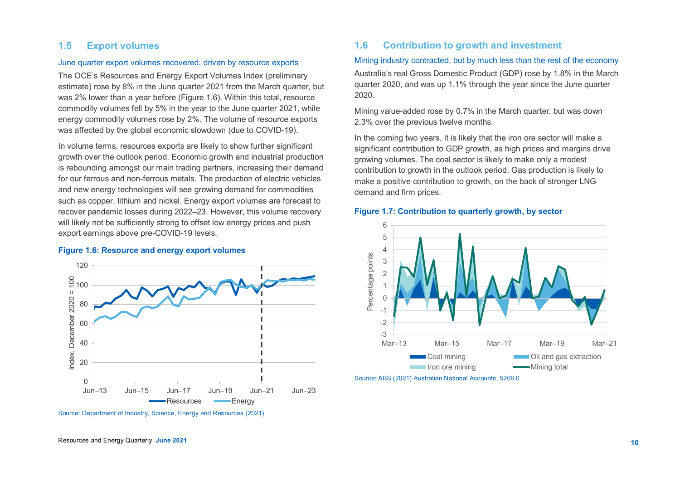# **1.5 Export volumes**

## June quarter export volumes recovered, driven by resource exports

The OCE's Resources and Energy Export Volumes Index (preliminary estimate) rose by 8% in the June quarter 2021 from the March quarter, but was 2% lower than a year before (Figure 1.6). Within this total, resource commodity volumes fell by 5% in the year to the June quarter 2021, while energy commodity volumes rose by 2%. The volume of resource exports was affected by the global economic slowdown (due to COVID-19).

In volume terms, resources exports are likely to show further significant growth over the outlook period. Economic growth and industrial production is rebounding amongst our main trading partners, increasing their demand for our ferrous and non-ferrous metals. The production of electric vehicles and new energy technologies will see growing demand for commodities such as copper, lithium and nickel. Energy export volumes are forecast to recover pandemic losses during 2022–23. However, this volume recovery will likely not be sufficiently strong to offset low energy prices and push export earnings above pre-COVID-19 levels.

#### **Figure 1.6: Resource and energy export volumes**



Source: Department of Industry, Science, Energy and Resources (2021)

## **1.6 Contribution to growth and investment**

#### Mining industry contracted, but by much less than the rest of the economy

Australia's real Gross Domestic Product (GDP) rose by 1.8% in the March quarter 2020, and was up 1.1% through the year since the June quarter 2020.

Mining value-added rose by 0.7% in the March quarter, but was down 2.3% over the previous twelve months.

In the coming two years, it is likely that the iron ore sector will make a significant contribution to GDP growth, as high prices and margins drive growing volumes. The coal sector is likely to make only a modest contribution to growth in the outlook period. Gas production is likely to make a positive contribution to growth, on the back of stronger LNG demand and firm prices.

#### **Figure 1.7: Contribution to quarterly growth, by sector**

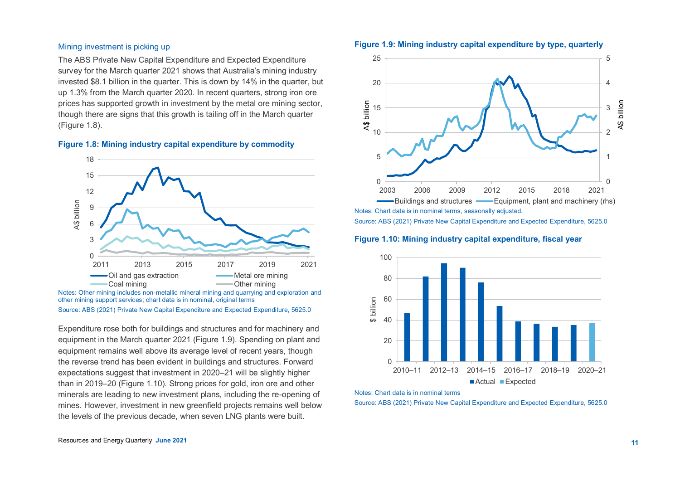#### Mining investment is picking up

The ABS Private New Capital Expenditure and Expected Expenditure survey for the March quarter 2021 shows that Australia's mining industry invested \$8.1 billion in the quarter. This is down by 14% in the quarter, but up 1.3% from the March quarter 2020. In recent quarters, strong iron ore prices has supported growth in investment by the metal ore mining sector, though there are signs that this growth is tailing off in the March quarter (Figure 1.8).





Notes: Other mining includes non-metallic mineral mining and quarrying and exploration and other mining support services; chart data is in nominal, original terms Source: ABS (2021) Private New Capital Expenditure and Expected Expenditure, 5625.0

Expenditure rose both for buildings and structures and for machinery and equipment in the March quarter 2021 (Figure 1.9). Spending on plant and equipment remains well above its average level of recent years, though the reverse trend has been evident in buildings and structures. Forward expectations suggest that investment in 2020–21 will be slightly higher than in 2019–20 (Figure 1.10). Strong prices for gold, iron ore and other minerals are leading to new investment plans, including the re-opening of mines. However, investment in new greenfield projects remains well below the levels of the previous decade, when seven LNG plants were built.





Notes: Chart data is in nominal terms, seasonally adjusted. Source: ABS (2021) Private New Capital Expenditure and Expected Expenditure, 5625.0

**Figure 1.10: Mining industry capital expenditure, fiscal year**



Notes: Chart data is in nominal terms

Source: ABS (2021) Private New Capital Expenditure and Expected Expenditure, 5625.0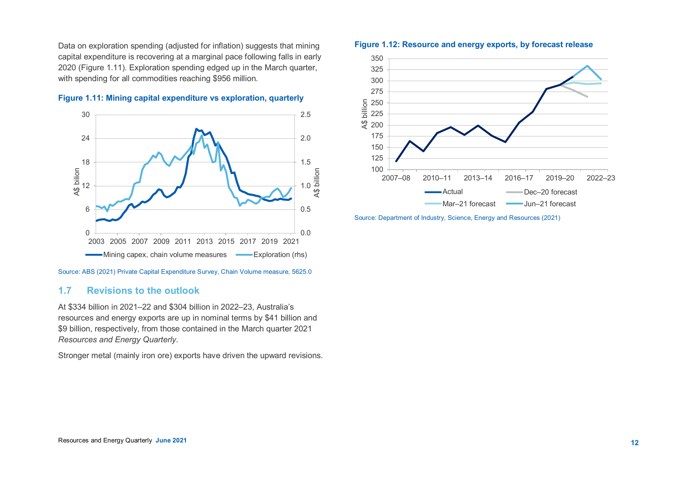Data on exploration spending (adjusted for inflation) suggests that mining capital expenditure is recovering at a marginal pace following falls in early 2020 (Figure 1.11). Exploration spending edged up in the March quarter, with spending for all commodities reaching \$956 million.





Source: ABS (2021) Private Capital Expenditure Survey, Chain Volume measure, 5625.0

# **1.7 Revisions to the outlook**

At \$334 billion in 2021–22 and \$304 billion in 2022–23, Australia's resources and energy exports are up in nominal terms by \$41 billion and \$9 billion, respectively, from those contained in the March quarter 2021 *Resources and Energy Quarterly*.

Stronger metal (mainly iron ore) exports have driven the upward revisions.





Source: Department of Industry, Science, Energy and Resources (2021)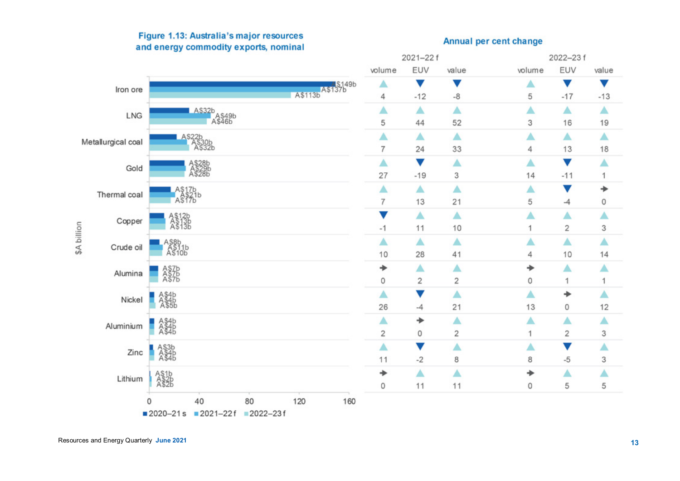

# Figure 1.13: Australia's major resources and energy commodity exports, nominal

# **Annual per cent change**